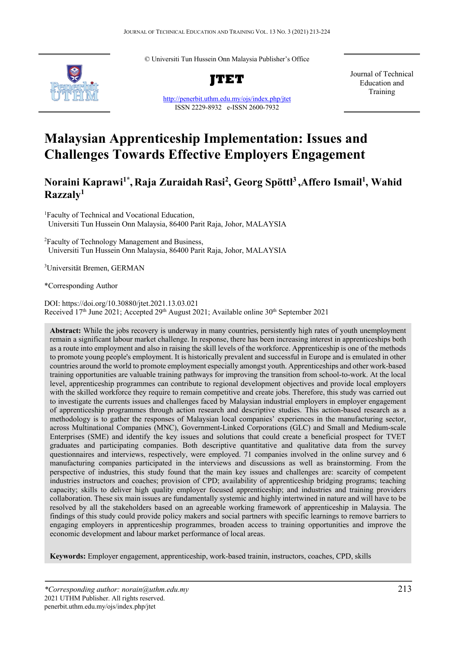© Universiti Tun Hussein Onn Malaysia Publisher's Office



**JTET**

http://penerbit.uthm.edu.my/ojs/index.php/jtet ISSN 2229-8932 e-ISSN 2600-7932

Journal of Technical Education and Training

# **Malaysian Apprenticeship Implementation: Issues and Challenges Towards Effective Employers Engagement**

# **Noraini Kaprawi1\* , Raja Zuraidah Rasi2 , Georg Spöttl3 ,Affero Ismail1 , Wahid Razzaly1**

1 Faculty of Technical and Vocational Education, Universiti Tun Hussein Onn Malaysia, 86400 Parit Raja, Johor, MALAYSIA

<sup>2</sup> Faculty of Technology Management and Business, Universiti Tun Hussein Onn Malaysia, 86400 Parit Raja, Johor, MALAYSIA

3 Universität Bremen, GERMAN

\*Corresponding Author

DOI: https://doi.org/10.30880/jtet.2021.13.03.021 Received  $17<sup>th</sup>$  June 2021; Accepted  $29<sup>th</sup>$  August 2021; Available online  $30<sup>th</sup>$  September 2021

**Abstract:** While the jobs recovery is underway in many countries, persistently high rates of youth unemployment remain a significant labour market challenge. In response, there has been increasing interest in apprenticeships both as a route into employment and also in raising the skill levels of the workforce. Apprenticeship is one of the methods to promote young people's employment. It is historically prevalent and successful in Europe and is emulated in other countries around the world to promote employment especially amongst youth. Apprenticeships and other work-based training opportunities are valuable training pathways for improving the transition from school-to-work. At the local level, apprenticeship programmes can contribute to regional development objectives and provide local employers with the skilled workforce they require to remain competitive and create jobs. Therefore, this study was carried out to investigate the currents issues and challenges faced by Malaysian industrial employers in employer engagement of apprenticeship programmes through action research and descriptive studies. This action-based research as a methodology is to gather the responses of Malaysian local companies' experiences in the manufacturing sector, across Multinational Companies (MNC), Government-Linked Corporations (GLC) and Small and Medium-scale Enterprises (SME) and identify the key issues and solutions that could create a beneficial prospect for TVET graduates and participating companies. Both descriptive quantitative and qualitative data from the survey questionnaires and interviews, respectively, were employed. 71 companies involved in the online survey and 6 manufacturing companies participated in the interviews and discussions as well as brainstorming. From the perspective of industries, this study found that the main key issues and challenges are: scarcity of competent industries instructors and coaches; provision of CPD; availability of apprenticeship bridging programs; teaching capacity; skills to deliver high quality employer focused apprenticeship; and industries and training providers collaboration. These six main issues are fundamentally systemic and highly intertwined in nature and will have to be resolved by all the stakeholders based on an agreeable working framework of apprenticeship in Malaysia. The findings of this study could provide policy makers and social partners with specific learnings to remove barriers to engaging employers in apprenticeship programmes, broaden access to training opportunities and improve the economic development and labour market performance of local areas.

**Keywords:** Employer engagement, apprenticeship, work-based trainin, instructors, coaches, CPD, skills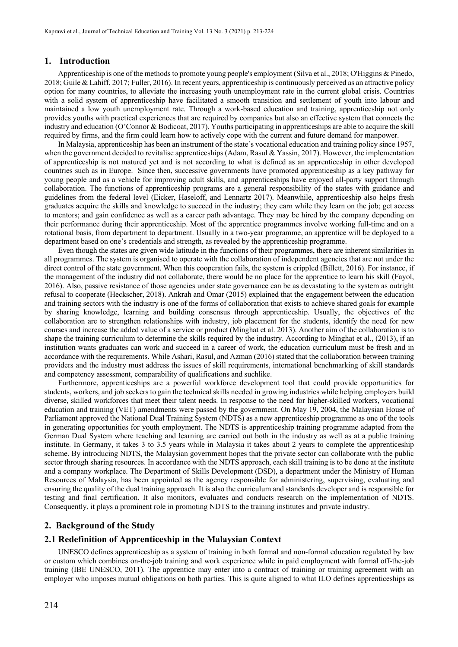#### **1. Introduction**

Apprenticeship is one of the methods to promote young people's employment (Silva et al., 2018; O'Higgins & Pinedo, 2018; Guile & Lahiff, 2017; Fuller, 2016). In recent years, apprenticeship is continuously perceived as an attractive policy option for many countries, to alleviate the increasing youth unemployment rate in the current global crisis. Countries with a solid system of apprenticeship have facilitated a smooth transition and settlement of youth into labour and maintained a low youth unemployment rate. Through a work-based education and training, apprenticeship not only provides youths with practical experiences that are required by companies but also an effective system that connects the industry and education (O'Connor & Bodicoat, 2017). Youths participating in apprenticeships are able to acquire the skill required by firms, and the firm could learn how to actively cope with the current and future demand for manpower.

In Malaysia, apprenticeship has been an instrument of the state's vocational education and training policy since 1957, when the government decided to revitalise apprenticeships (Adam, Rasul & Yassin, 2017). However, the implementation of apprenticeship is not matured yet and is not according to what is defined as an apprenticeship in other developed countries such as in Europe. Since then, successive governments have promoted apprenticeship as a key pathway for young people and as a vehicle for improving adult skills, and apprenticeships have enjoyed all-party support through collaboration. The functions of apprenticeship programs are a general responsibility of the states with guidance and guidelines from the federal level (Eicker, Haseloff, and Lennartz 2017). Meanwhile, apprenticeship also helps fresh graduates acquire the skills and knowledge to succeed in the industry; they earn while they learn on the job; get access to mentors; and gain confidence as well as a career path advantage. They may be hired by the company depending on their performance during their apprenticeship. Most of the apprentice programmes involve working full-time and on a rotational basis, from department to department. Usually in a two-year programme, an apprentice will be deployed to a department based on one's credentials and strength, as revealed by the apprenticeship programme.

Even though the states are given wide latitude in the functions of their programmes, there are inherent similarities in all programmes. The system is organised to operate with the collaboration of independent agencies that are not under the direct control of the state government. When this cooperation fails, the system is crippled (Billett, 2016). For instance, if the management of the industry did not collaborate, there would be no place for the apprentice to learn his skill (Fayol, 2016). Also, passive resistance of those agencies under state governance can be as devastating to the system as outright refusal to cooperate (Heckscher, 2018). Ankrah and Omar (2015) explained that the engagement between the education and training sectors with the industry is one of the forms of collaboration that exists to achieve shared goals for example by sharing knowledge, learning and building consensus through apprenticeship. Usually, the objectives of the collaboration are to strengthen relationships with industry, job placement for the students, identify the need for new courses and increase the added value of a service or product (Minghat et al. 2013). Another aim of the collaboration is to shape the training curriculum to determine the skills required by the industry. According to Minghat et al., (2013), if an institution wants graduates can work and succeed in a career of work, the education curriculum must be fresh and in accordance with the requirements. While Ashari, Rasul, and Azman (2016) stated that the collaboration between training providers and the industry must address the issues of skill requirements, international benchmarking of skill standards and competency assessment, comparability of qualifications and suchlike.

Furthermore, apprenticeships are a powerful workforce development tool that could provide opportunities for students, workers, and job seekers to gain the technical skills needed in growing industries while helping employers build diverse, skilled workforces that meet their talent needs. In response to the need for higher-skilled workers, vocational education and training (VET) amendments were passed by the government. On May 19, 2004, the Malaysian House of Parliament approved the National Dual Training System (NDTS) as a new apprenticeship programme as one of the tools in generating opportunities for youth employment. The NDTS is apprenticeship training programme adapted from the German Dual System where teaching and learning are carried out both in the industry as well as at a public training institute. In Germany, it takes 3 to 3.5 years while in Malaysia it takes about 2 years to complete the apprenticeship scheme. By introducing NDTS, the Malaysian government hopes that the private sector can collaborate with the public sector through sharing resources. In accordance with the NDTS approach, each skill training is to be done at the institute and a company workplace. The Department of Skills Development (DSD), a department under the Ministry of Human Resources of Malaysia, has been appointed as the agency responsible for administering, supervising, evaluating and ensuring the quality of the dual training approach. It is also the curriculum and standards developer and is responsible for testing and final certification. It also monitors, evaluates and conducts research on the implementation of NDTS. Consequently, it plays a prominent role in promoting NDTS to the training institutes and private industry.

### **2. Background of the Study**

#### **2.1 Redefinition of Apprenticeship in the Malaysian Context**

UNESCO defines apprenticeship as a system of training in both formal and non-formal education regulated by law or custom which combines on-the-job training and work experience while in paid employment with formal off-the-job training (IBE UNESCO, 2011). The apprentice may enter into a contract of training or training agreement with an employer who imposes mutual obligations on both parties. This is quite aligned to what ILO defines apprenticeships as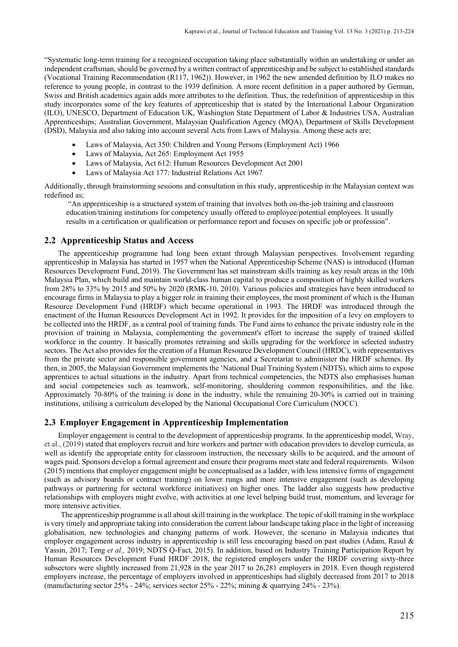"Systematic long-term training for a recognized occupation taking place substantially within an undertaking or under an independent craftsman, should be governed by a written contract of apprenticeship and be subject to established standards (Vocational Training Recommendation (R117, 1962)). However, in 1962 the new amended definition by ILO makes no reference to young people, in contrast to the 1939 definition. A more recent definition in a paper authored by German, Swiss and British academics again adds more attributes to the definition. Thus, the redefinition of apprenticeship in this study incorporates some of the key features of apprenticeship that is stated by the International Labour Organization (ILO), UNESCO, Department of Education UK, Washington State Department of Labor & Industries USA, Australian Apprenticeships; Australian Government, Malaysian Qualification Agency (MQA), Department of Skills Development (DSD), Malaysia and also taking into account several Acts from Laws of Malaysia. Among these acts are;

- Laws of Malaysia, Act 350: Children and Young Persons (Employment Act) 1966
- Laws of Malaysia, Act 265: Employment Act 1955
- Laws of Malaysia, Act 612: Human Resources Development Act 2001
- Laws of Malaysia Act 177: Industrial Relations Act 1967

Additionally, through brainstorming sessions and consultation in this study, apprenticeship in the Malaysian context was redefined as;

"An apprenticeship is a structured system of training that involves both on-the-job training and classroom education/training institutions for competency usually offered to employee/potential employees. It usually results in a certification or qualification or performance report and focuses on specific job or profession".

#### **2.2 Apprenticeship Status and Access**

The apprenticeship programme had long been extant through Malaysian perspectives. Involvement regarding apprenticeship in Malaysia has started in 1957 when the National Apprenticeship Scheme (NAS) is introduced (Human Resources Development Fund, 2019). The Government has set mainstream skills training as key result areas in the 10th Malaysia Plan, which build and maintain world-class human capital to produce a composition of highly skilled workers from 28% to 33% by 2015 and 50% by 2020 (RMK-10, 2010). Various policies and strategies have been introduced to encourage firms in Malaysia to play a bigger role in training their employees, the most prominent of which is the Human Resource Development Fund (HRDF) which became operational in 1993. The HRDF was introduced through the enactment of the Human Resources Development Act in 1992. It provides for the imposition of a levy on employers to be collected into the HRDF, as a central pool of training funds. The Fund aims to enhance the private industry role in the provision of training in Malaysia, complementing the government's effort to increase the supply of trained skilled workforce in the country. It basically promotes retraining and skills upgrading for the workforce in selected industry sectors. The Act also provides for the creation of a Human Resource Development Council (HRDC), with representatives from the private sector and responsible government agencies, and a Secretariat to administer the HRDF schemes. By then, in 2005, the Malaysian Government implements the 'National Dual Training System (NDTS), which aims to expose apprentices to actual situations in the industry. Apart from technical competencies, the NDTS also emphasises human and social competencies such as teamwork, self-monitoring, shouldering common responsibilities, and the like. Approximately 70-80% of the training is done in the industry, while the remaining 20-30% is carried out in training institutions, utilising a curriculum developed by the National Occupational Core Curriculum (NOCC).

#### **2.3 Employer Engagement in Apprenticeship Implementation**

Employer engagement is central to the development of apprenticeship programs. In the apprenticeship model, Wray, et al., (2019) stated that employers recruit and hire workers and partner with education providers to develop curricula, as well as identify the appropriate entity for classroom instruction, the necessary skills to be acquired, and the amount of wages paid. Sponsors develop a formal agreement and ensure their programs meet state and federal requirements. Wilson (2015) mentions that employer engagement might be conceptualised as a ladder, with less intensive forms of engagement (such as advisory boards or contract training) on lower rungs and more intensive engagement (such as developing pathways or partnering for sectoral workforce initiatives) on higher ones. The ladder also suggests how productive relationships with employers might evolve, with activities at one level helping build trust, momentum, and leverage for more intensive activities.

The apprenticeship programme is all about skill training in the workplace. The topic of skill training in the workplace is very timely and appropriate taking into consideration the current labour landscape taking place in the light of increasing globalisation, new technologies and changing patterns of work. However, the scenario in Malaysia indicates that employer engagement across industry in apprenticeship is still less encouraging based on past studies (Adam, Rasul & Yassin, 2017; Teng *et al.,* 2019; NDTS Q-Fact, 2015). In addition, based on Industry Training Participation Report by Human Resources Development Fund HRDF 2018, the registered employers under the HRDF covering sixty-three subsectors were slightly increased from 21,928 in the year 2017 to 26,281 employers in 2018. Even though registered employers increase, the percentage of employers involved in apprenticeships had slightly decreased from 2017 to 2018 (manufacturing sector  $25\%$  -  $24\%$ ; services sector  $25\%$  -  $22\%$ ; mining & quarrying  $24\%$  -  $23\%$ ).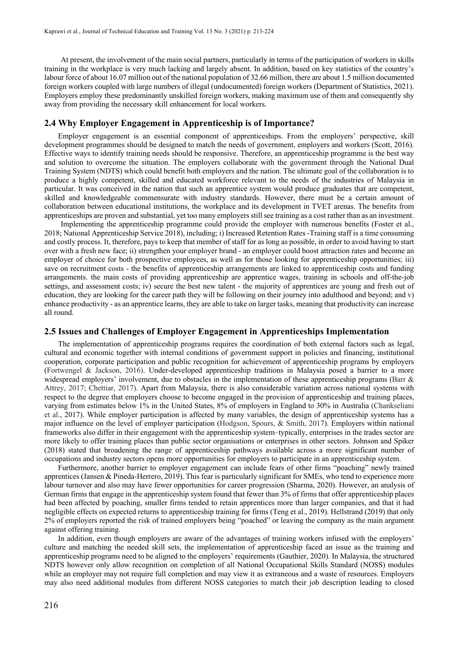At present, the involvement of the main social partners, particularly in terms of the participation of workers in skills training in the workplace is very much lacking and largely absent. In addition, based on key statistics of the country's labour force of about 16.07 million out of the national population of 32.66 million, there are about 1.5 million documented foreign workers coupled with large numbers of illegal (undocumented) foreign workers (Department of Statistics, 2021). Employers employ these predominantly unskilled foreign workers, making maximum use of them and consequently shy away from providing the necessary skill enhancement for local workers.

# **2.4 Why Employer Engagement in Apprenticeship is of Importance?**

Employer engagement is an essential component of apprenticeships. From the employers' perspective, skill development programmes should be designed to match the needs of government, employers and workers (Scott, 2016). Effective ways to identify training needs should be responsive. Therefore, an apprenticeship programme is the best way and solution to overcome the situation. The employers collaborate with the government through the National Dual Training System (NDTS) which could benefit both employers and the nation. The ultimate goal of the collaboration is to produce a highly competent, skilled and educated workforce relevant to the needs of the industries of Malaysia in particular. It was conceived in the nation that such an apprentice system would produce graduates that are competent, skilled and knowledgeable commensurate with industry standards. However, there must be a certain amount of collaboration between educational institutions, the workplace and its development in TVET arenas. The benefits from apprenticeships are proven and substantial, yet too many employers still see training as a cost rather than as an investment.

Implementing the apprenticeship programme could provide the employer with numerous benefits (Foster et al., 2018; National Apprenticeship Service 2018), including; i) Increased Retention Rates -Training staff is a time consuming and costly process. It, therefore, pays to keep that member of staff for as long as possible, in order to avoid having to start over with a fresh new face; ii) strengthen your employer brand - an employer could boost attraction rates and become an employer of choice for both prospective employees, as well as for those looking for apprenticeship opportunities; iii) save on recruitment costs - the benefits of apprenticeship arrangements are linked to apprenticeship costs and funding arrangements. the main costs of providing apprenticeship are apprentice wages, training in schools and off-the-job settings, and assessment costs; iv) secure the best new talent - the majority of apprentices are young and fresh out of education, they are looking for the career path they will be following on their journey into adulthood and beyond; and v) enhance productivity - as an apprentice learns, they are able to take on larger tasks, meaning that productivity can increase all round.

#### **2.5 Issues and Challenges of Employer Engagement in Apprenticeships Implementation**

The implementation of apprenticeship programs requires the coordination of both external factors such as legal, cultural and economic together with internal conditions of government support in policies and financing, institutional cooperation, corporate participation and public recognition for achievement of apprenticeship programs by employers (Fortwengel & Jackson, 2016). Under-developed apprenticeship traditions in Malaysia posed a barrier to a more widespread employers' involvement, due to obstacles in the implementation of these apprenticeship programs (Barr & Attrey, 2017; Chettiar, 2017). Apart from Malaysia, there is also considerable variation across national systems with respect to the degree that employers choose to become engaged in the provision of apprenticeship and training places, varying from estimates below 1% in the United States, 8% of employers in England to 30% in Australia (Chankseliani et al., 2017). While employer participation is affected by many variables, the design of apprenticeship systems has a major influence on the level of employer participation (Hodgson, Spours, & Smith, 2017). Employers within national frameworks also differ in their engagement with the apprenticeship system–typically, enterprises in the trades sector are more likely to offer training places than public sector organisations or enterprises in other sectors. Johnson and Spiker (2018) stated that broadening the range of apprenticeship pathways available across a more significant number of occupations and industry sectors opens more opportunities for employers to participate in an apprenticeship system.

Furthermore, another barrier to employer engagement can include fears of other firms "poaching" newly trained apprentices (Jansen & Pineda-Herrero, 2019). This fear is particularly significant for SMEs, who tend to experience more labour turnover and also may have fewer opportunities for career progression (Sharma, 2020). However, an analysis of German firms that engage in the apprenticeship system found that fewer than 3% of firms that offer apprenticeship places had been affected by poaching, smaller firms tended to retain apprentices more than larger companies, and that it had negligible effects on expected returns to apprenticeship training for firms (Teng et al., 2019). Hellstrand (2019) that only 2% of employers reported the risk of trained employers being "poached" or leaving the company as the main argument against offering training.

In addition, even though employers are aware of the advantages of training workers infused with the employers' culture and matching the needed skill sets, the implementation of apprenticeship faced an issue as the training and apprenticeship programs need to be aligned to the employers' requirements (Gauthier, 2020). In Malaysia, the structured NDTS however only allow recognition on completion of all National Occupational Skills Standard (NOSS) modules while an employer may not require full completion and may view it as extraneous and a waste of resources. Employers may also need additional modules from different NOSS categories to match their job description leading to closed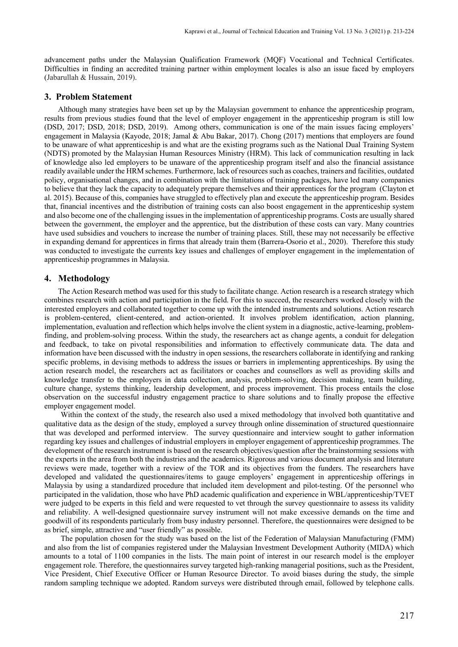advancement paths under the Malaysian Qualification Framework (MQF) Vocational and Technical Certificates. Difficulties in finding an accredited training partner within employment locales is also an issue faced by employers (Jabarullah & Hussain, 2019).

#### **3. Problem Statement**

Although many strategies have been set up by the Malaysian government to enhance the apprenticeship program, results from previous studies found that the level of employer engagement in the apprenticeship program is still low (DSD, 2017; DSD, 2018; DSD, 2019). Among others, communication is one of the main issues facing employers' engagement in Malaysia (Kayode, 2018; Jamal & Abu Bakar, 2017). Chong (2017) mentions that employers are found to be unaware of what apprenticeship is and what are the existing programs such as the National Dual Training System (NDTS) promoted by the Malaysian Human Resources Ministry (HRM). This lack of communication resulting in lack of knowledge also led employers to be unaware of the apprenticeship program itself and also the financial assistance readily available under the HRM schemes. Furthermore, lack of resources such as coaches, trainers and facilities, outdated policy, organisational changes, and in combination with the limitations of training packages, have led many companies to believe that they lack the capacity to adequately prepare themselves and their apprentices for the program (Clayton et al. 2015). Because of this, companies have struggled to effectively plan and execute the apprenticeship program. Besides that, financial incentives and the distribution of training costs can also boost engagement in the apprenticeship system and also become one of the challenging issues in the implementation of apprenticeship programs. Costs are usually shared between the government, the employer and the apprentice, but the distribution of these costs can vary. Many countries have used subsidies and vouchers to increase the number of training places. Still, these may not necessarily be effective in expanding demand for apprentices in firms that already train them (Barrera-Osorio et al., 2020). Therefore this study was conducted to investigate the currents key issues and challenges of employer engagement in the implementation of apprenticeship programmes in Malaysia.

#### **4. Methodology**

The Action Research method was used for this study to facilitate change. Action research is a research strategy which combines research with action and participation in the field. For this to succeed, the researchers worked closely with the interested employers and collaborated together to come up with the intended instruments and solutions. Action research is problem-centered, client-centered, and action-oriented. It involves problem identification, action planning, implementation, evaluation and reflection which helps involve the client system in a diagnostic, active-learning, problemfinding, and problem-solving process. Within the study, the researchers act as change agents, a conduit for delegation and feedback, to take on pivotal responsibilities and information to effectively communicate data. The data and information have been discussed with the industry in open sessions, the researchers collaborate in identifying and ranking specific problems, in devising methods to address the issues or barriers in implementing apprenticeships. By using the action research model, the researchers act as facilitators or coaches and counsellors as well as providing skills and knowledge transfer to the employers in data collection, analysis, problem-solving, decision making, team building, culture change, systems thinking, leadership development, and process improvement. This process entails the close observation on the successful industry engagement practice to share solutions and to finally propose the effective employer engagement model.

Within the context of the study, the research also used a mixed methodology that involved both quantitative and qualitative data as the design of the study, employed a survey through online dissemination of structured questionnaire that was developed and performed interview. The survey questionnaire and interview sought to gather information regarding key issues and challenges of industrial employers in employer engagement of apprenticeship programmes. The development of the research instrument is based on the research objectives/question after the brainstorming sessions with the experts in the area from both the industries and the academics. Rigorous and various document analysis and literature reviews were made, together with a review of the TOR and its objectives from the funders. The researchers have developed and validated the questionnaires/items to gauge employers' engagement in apprenticeship offerings in Malaysia by using a standardized procedure that included item development and pilot-testing. Of the personnel who participated in the validation, those who have PhD academic qualification and experience in WBL/apprenticeship/TVET were judged to be experts in this field and were requested to vet through the survey questionnaire to assess its validity and reliability. A well-designed questionnaire survey instrument will not make excessive demands on the time and goodwill of its respondents particularly from busy industry personnel. Therefore, the questionnaires were designed to be as brief, simple, attractive and "user friendly" as possible.

The population chosen for the study was based on the list of the Federation of Malaysian Manufacturing (FMM) and also from the list of companies registered under the Malaysian Investment Development Authority (MIDA) which amounts to a total of 1100 companies in the lists. The main point of interest in our research model is the employer engagement role. Therefore, the questionnaires survey targeted high-ranking managerial positions, such as the President, Vice President, Chief Executive Officer or Human Resource Director. To avoid biases during the study, the simple random sampling technique we adopted. Random surveys were distributed through email, followed by telephone calls.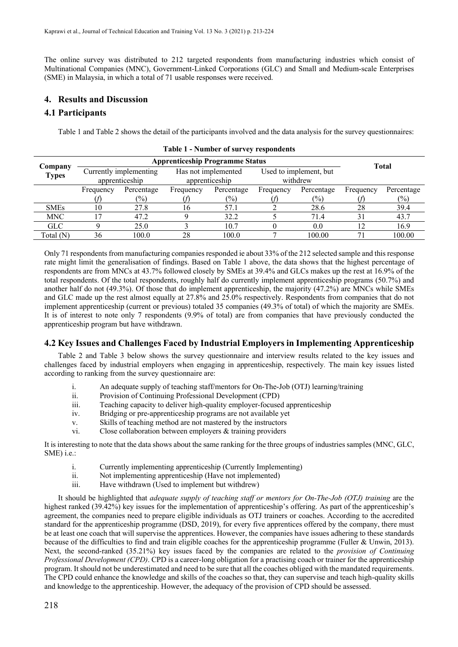The online survey was distributed to 212 targeted respondents from manufacturing industries which consist of Multinational Companies (MNC), Government-Linked Corporations (GLC) and Small and Medium-scale Enterprises (SME) in Malaysia, in which a total of 71 usable responses were received.

# **4. Results and Discussion**

# **4.1 Participants**

Table 1 and Table 2 shows the detail of the participants involved and the data analysis for the survey questionnaires:

|                         |                        | <b>Total</b>  |                     |                |                        |                 |           |               |
|-------------------------|------------------------|---------------|---------------------|----------------|------------------------|-----------------|-----------|---------------|
| Company<br><b>Types</b> | Currently implementing |               | Has not implemented |                | Used to implement, but |                 |           |               |
|                         | apprenticeship         |               | apprenticeship      |                | withdrew               |                 |           |               |
|                         | Frequency              | Percentage    | Frequency           | Percentage     | Frequency              | Percentage      | Frequency | Percentage    |
|                         |                        | $\frac{1}{2}$ |                     | $\binom{0}{0}$ |                        | $\frac{(0)}{0}$ |           | $\frac{6}{2}$ |
| <b>SMEs</b>             | 10                     | 27.8          |                     | 57.1           |                        | 28.6            | 28        | 39.4          |
| <b>MNC</b>              |                        | 47.2          |                     | 32.2           |                        | 71.4            | 31        | 43.7          |
| <b>GLC</b>              |                        | 25.0          |                     | 10.7           |                        | 0.0             |           | 16.9          |
| Total $(N)$             | 36                     | 100.0         | 28                  | 100.0          |                        | 100.00          |           | 100.00        |

**Table 1 - Number of survey respondents**

Only 71 respondents from manufacturing companies responded ie about 33% of the 212 selected sample and this response rate might limit the generalisation of findings. Based on Table 1 above, the data shows that the highest percentage of respondents are from MNCs at 43.7% followed closely by SMEs at 39.4% and GLCs makes up the rest at 16.9% of the total respondents. Of the total respondents, roughly half do currently implement apprenticeship programs (50.7%) and another half do not (49.3%). Of those that do implement apprenticeship, the majority (47.2%) are MNCs while SMEs and GLC made up the rest almost equally at 27.8% and 25.0% respectively. Respondents from companies that do not implement apprenticeship (current or previous) totaled 35 companies (49.3% of total) of which the majority are SMEs. It is of interest to note only 7 respondents (9.9% of total) are from companies that have previously conducted the apprenticeship program but have withdrawn.

# **4.2 Key Issues and Challenges Faced by Industrial Employers in Implementing Apprenticeship**

Table 2 and Table 3 below shows the survey questionnaire and interview results related to the key issues and challenges faced by industrial employers when engaging in apprenticeship, respectively*.* The main key issues listed according to ranking from the survey questionnaire are:

- i. An adequate supply of teaching staff/mentors for On-The-Job (OTJ) learning/training
- ii. Provision of Continuing Professional Development (CPD)
- iii. Teaching capacity to deliver high-quality employer-focused apprenticeship
- iv. Bridging or pre-apprenticeship programs are not available yet
- v. Skills of teaching method are not mastered by the instructors
- vi. Close collaboration between employers & training providers

It is interesting to note that the data shows about the same ranking for the three groups of industries samples (MNC, GLC, SME) i.e.:

- i. Currently implementing apprenticeship (Currently Implementing)
- ii. Not implementing apprenticeship (Have not implemented)
- iii. Have withdrawn (Used to implement but withdrew)

It should be highlighted that *adequate supply of teaching staff or mentors for On-The-Job (OTJ) training* are the highest ranked (39.42%) key issues for the implementation of apprenticeship's offering. As part of the apprenticeship's agreement, the companies need to prepare eligible individuals as OTJ trainers or coaches. According to the accredited standard for the apprenticeship programme (DSD, 2019), for every five apprentices offered by the company, there must be at least one coach that will supervise the apprentices. However, the companies have issues adhering to these standards because of the difficulties to find and train eligible coaches for the apprenticeship programme (Fuller & Unwin, 2013). Next, the second-ranked (35.21%) key issues faced by the companies are related to the *provision of Continuing Professional Development (CPD)*. CPD is a career-long obligation for a practising coach or trainer for the apprenticeship program. It should not be underestimated and need to be sure that all the coaches obliged with the mandated requirements. The CPD could enhance the knowledge and skills of the coaches so that, they can supervise and teach high-quality skills and knowledge to the apprenticeship. However, the adequacy of the provision of CPD should be assessed.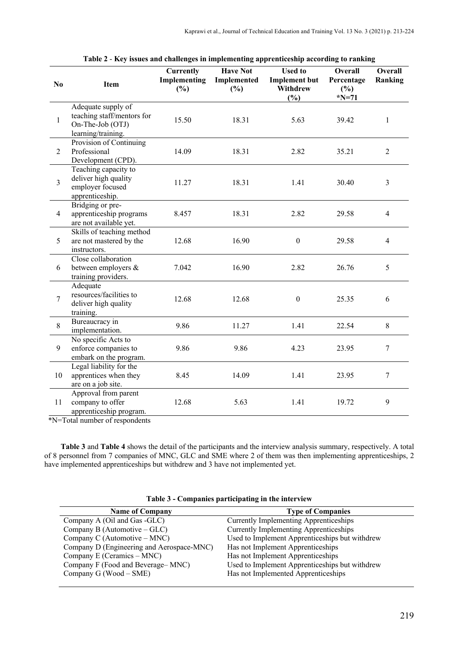| N <sub>0</sub> | Item                                                                                       | <b>Currently</b><br>Implementing<br>(%) | <b>Have Not</b><br>Implemented<br>(%) | <b>Used to</b><br><b>Implement but</b><br>Withdrew<br>(%) | Overall<br>Percentage<br>$(\%)$<br>$*N=71$ | Overall<br>Ranking |
|----------------|--------------------------------------------------------------------------------------------|-----------------------------------------|---------------------------------------|-----------------------------------------------------------|--------------------------------------------|--------------------|
| $\mathbf{1}$   | Adequate supply of<br>teaching staff/mentors for<br>On-The-Job (OTJ)<br>learning/training. | 15.50                                   | 18.31                                 | 5.63                                                      | 39.42                                      | $\mathbf{1}$       |
| $\overline{2}$ | Provision of Continuing<br>Professional<br>Development (CPD).                              | 14.09                                   | 18.31                                 | 2.82                                                      | 35.21                                      | $\mathbf{2}$       |
| $\overline{3}$ | Teaching capacity to<br>deliver high quality<br>employer focused<br>apprenticeship.        | 11.27                                   | 18.31                                 | 1.41                                                      | 30.40                                      | $\mathfrak{Z}$     |
| $\overline{4}$ | Bridging or pre-<br>apprenticeship programs<br>are not available yet.                      | 8.457                                   | 18.31                                 | 2.82                                                      | 29.58                                      | $\overline{4}$     |
| 5              | Skills of teaching method<br>are not mastered by the<br>instructors.                       | 12.68                                   | 16.90                                 | $\boldsymbol{0}$                                          | 29.58                                      | $\overline{4}$     |
| 6              | Close collaboration<br>between employers &<br>training providers.                          | 7.042                                   | 16.90                                 | 2.82                                                      | 26.76                                      | 5                  |
| $\overline{7}$ | Adequate<br>resources/facilities to<br>deliver high quality<br>training.                   | 12.68                                   | 12.68                                 | $\boldsymbol{0}$                                          | 25.35                                      | 6                  |
| 8              | Bureaucracy in<br>implementation.                                                          | 9.86                                    | 11.27                                 | 1.41                                                      | 22.54                                      | 8                  |
| 9              | No specific Acts to<br>enforce companies to<br>embark on the program.                      | 9.86                                    | 9.86                                  | 4.23                                                      | 23.95                                      | $\tau$             |
| 10             | Legal liability for the<br>apprentices when they<br>are on a job site.                     | 8.45                                    | 14.09                                 | 1.41                                                      | 23.95                                      | $\boldsymbol{7}$   |
| 11             | Approval from parent<br>company to offer<br>apprenticeship program.                        | 12.68                                   | 5.63                                  | 1.41                                                      | 19.72                                      | 9                  |

**Table 2** - **Key issues and challenges in implementing apprenticeship according to ranking**

\*N=Total number of respondents

**Table 3** and **Table 4** shows the detail of the participants and the interview analysis summary, respectively. A total of 8 personnel from 7 companies of MNC, GLC and SME where 2 of them was then implementing apprenticeships, 2 have implemented apprenticeships but withdrew and 3 have not implemented yet.

| <b>Name of Company</b>                    | <b>Type of Companies</b>                       |  |  |
|-------------------------------------------|------------------------------------------------|--|--|
| Company A (Oil and Gas -GLC)              | Currently Implementing Apprenticeships         |  |  |
| Company B (Automotive $-GLC$ )            | <b>Currently Implementing Apprenticeships</b>  |  |  |
| Company C (Automotive $-MNC$ )            | Used to Implement Apprenticeships but withdrew |  |  |
| Company D (Engineering and Aerospace-MNC) | Has not Implement Apprenticeships              |  |  |
| Company E (Ceramics – MNC)                | Has not Implement Apprenticeships              |  |  |
| Company F (Food and Beverage–MNC)         | Used to Implement Apprenticeships but withdrew |  |  |
| Company $G$ (Wood $-SME$ )                | Has not Implemented Apprenticeships            |  |  |

**Table 3 - Companies participating in the interview**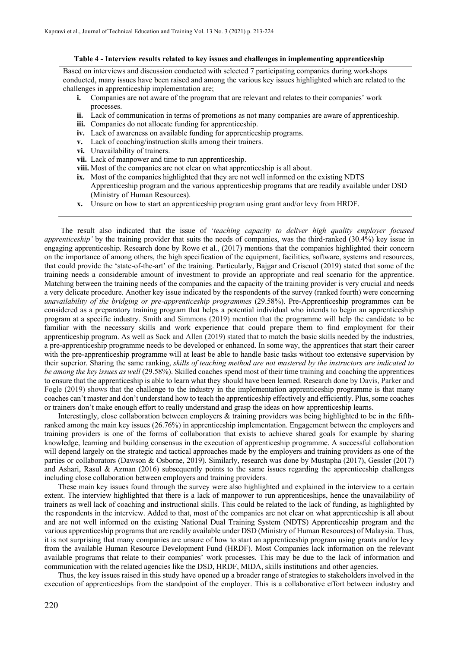#### **Table 4 - Interview results related to key issues and challenges in implementing apprenticeship**

Based on interviews and discussion conducted with selected 7 participating companies during workshops conducted, many issues have been raised and among the various key issues highlighted which are related to the challenges in apprenticeship implementation are;

- **i.** Companies are not aware of the program that are relevant and relates to their companies' work processes.
- **ii.** Lack of communication in terms of promotions as not many companies are aware of apprenticeship.
- **iii.** Companies do not allocate funding for apprenticeship.
- **iv.** Lack of awareness on available funding for apprenticeship programs.
- **v.** Lack of coaching/instruction skills among their trainers.
- **vi.** Unavailability of trainers.
- **vii.** Lack of manpower and time to run apprenticeship.
- **viii.** Most of the companies are not clear on what apprenticeship is all about.
- **ix.** Most of the companies highlighted that they are not well informed on the existing NDTS Apprenticeship program and the various apprenticeship programs that are readily available under DSD (Ministry of Human Resources).
- **x.** Unsure on how to start an apprenticeship program using grant and/or levy from HRDF.

The result also indicated that the issue of '*teaching capacity to deliver high quality employer focused apprenticeship'* by the training provider that suits the needs of companies, was the third-ranked (30.4%) key issue in engaging apprenticeship. Research done by Rowe et al., (2017) mentions that the companies highlighted their concern on the importance of among others, the high specification of the equipment, facilities, software, systems and resources, that could provide the 'state-of-the-art' of the training. Particularly, Bajgar and Criscuol (2019) stated that some of the training needs a considerable amount of investment to provide an appropriate and real scenario for the apprentice. Matching between the training needs of the companies and the capacity of the training provider is very crucial and needs a very delicate procedure. Another key issue indicated by the respondents of the survey (ranked fourth) were concerning *unavailability of the bridging or pre-apprenticeship programmes* (29.58%). Pre-Apprenticeship programmes can be considered as a preparatory training program that helps a potential individual who intends to begin an apprenticeship program at a specific industry. Smith and Simmons (2019) mention that the programme will help the candidate to be familiar with the necessary skills and work experience that could prepare them to find employment for their apprenticeship program. As well as Sack and Allen (2019) stated that to match the basic skills needed by the industries, a pre-apprenticeship programme needs to be developed or enhanced. In some way, the apprentices that start their career with the pre-apprenticeship programme will at least be able to handle basic tasks without too extensive supervision by their superior. Sharing the same ranking, *skills of teaching method are not mastered by the instructors are indicated to be among the key issues as well* (29.58%). Skilled coaches spend most of their time training and coaching the apprentices to ensure that the apprenticeship is able to learn what they should have been learned. Research done by Davis, Parker and Fogle (2019) shows that the challenge to the industry in the implementation apprenticeship programme is that many coaches can't master and don't understand how to teach the apprenticeship effectively and efficiently. Plus, some coaches or trainers don't make enough effort to really understand and grasp the ideas on how apprenticeship learns.

Interestingly, close collaboration between employers & training providers was being highlighted to be in the fifthranked among the main key issues (26.76%) in apprenticeship implementation. Engagement between the employers and training providers is one of the forms of collaboration that exists to achieve shared goals for example by sharing knowledge, learning and building consensus in the execution of apprenticeship programme. A successful collaboration will depend largely on the strategic and tactical approaches made by the employers and training providers as one of the parties or collaborators (Dawson & Osborne, 2019). Similarly, research was done by Mustapha (2017), Gessler (2017) and Ashari, Rasul & Azman (2016) subsequently points to the same issues regarding the apprenticeship challenges including close collaboration between employers and training providers.

These main key issues found through the survey were also highlighted and explained in the interview to a certain extent. The interview highlighted that there is a lack of manpower to run apprenticeships, hence the unavailability of trainers as well lack of coaching and instructional skills. This could be related to the lack of funding, as highlighted by the respondents in the interview. Added to that, most of the companies are not clear on what apprenticeship is all about and are not well informed on the existing National Dual Training System (NDTS) Apprenticeship program and the various apprenticeship programs that are readily available under DSD (Ministry of Human Resources) of Malaysia. Thus, it is not surprising that many companies are unsure of how to start an apprenticeship program using grants and/or levy from the available Human Resource Development Fund (HRDF). Most Companies lack information on the relevant available programs that relate to their companies' work processes. This may be due to the lack of information and communication with the related agencies like the DSD, HRDF, MIDA, skills institutions and other agencies.

Thus, the key issues raised in this study have opened up a broader range of strategies to stakeholders involved in the execution of apprenticeships from the standpoint of the employer. This is a collaborative effort between industry and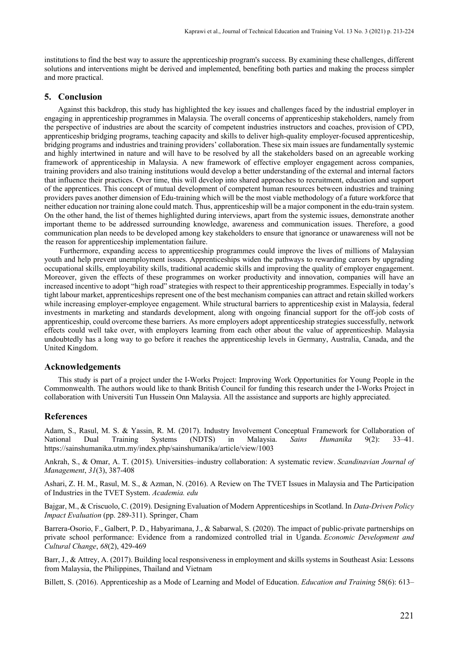institutions to find the best way to assure the apprenticeship program's success. By examining these challenges, different solutions and interventions might be derived and implemented, benefiting both parties and making the process simpler and more practical.

#### **5. Conclusion**

Against this backdrop, this study has highlighted the key issues and challenges faced by the industrial employer in engaging in apprenticeship programmes in Malaysia. The overall concerns of apprenticeship stakeholders, namely from the perspective of industries are about the scarcity of competent industries instructors and coaches, provision of CPD, apprenticeship bridging programs, teaching capacity and skills to deliver high-quality employer-focused apprenticeship, bridging programs and industries and training providers' collaboration. These six main issues are fundamentally systemic and highly intertwined in nature and will have to be resolved by all the stakeholders based on an agreeable working framework of apprenticeship in Malaysia. A new framework of effective employer engagement across companies, training providers and also training institutions would develop a better understanding of the external and internal factors that influence their practices. Over time, this will develop into shared approaches to recruitment, education and support of the apprentices. This concept of mutual development of competent human resources between industries and training providers paves another dimension of Edu-training which will be the most viable methodology of a future workforce that neither education nor training alone could match. Thus, apprenticeship will be a major component in the edu-train system. On the other hand, the list of themes highlighted during interviews, apart from the systemic issues, demonstrate another important theme to be addressed surrounding knowledge, awareness and communication issues. Therefore, a good communication plan needs to be developed among key stakeholders to ensure that ignorance or unawareness will not be the reason for apprenticeship implementation failure.

 Furthermore, expanding access to apprenticeship programmes could improve the lives of millions of Malaysian youth and help prevent unemployment issues. Apprenticeships widen the pathways to rewarding careers by upgrading occupational skills, employability skills, traditional academic skills and improving the quality of employer engagement. Moreover, given the effects of these programmes on worker productivity and innovation, companies will have an increased incentive to adopt "high road" strategies with respect to their apprenticeship programmes. Especially in today's tight labour market, apprenticeships represent one of the best mechanism companies can attract and retain skilled workers while increasing employer-employee engagement. While structural barriers to apprenticeship exist in Malaysia, federal investments in marketing and standards development, along with ongoing financial support for the off-job costs of apprenticeship, could overcome these barriers. As more employers adopt apprenticeship strategies successfully, network effects could well take over, with employers learning from each other about the value of apprenticeship. Malaysia undoubtedly has a long way to go before it reaches the apprenticeship levels in Germany, Australia, Canada, and the United Kingdom.

#### **Acknowledgements**

This study is part of a project under the I-Works Project: Improving Work Opportunities for Young People in the Commonwealth. The authors would like to thank British Council for funding this research under the I-Works Project in collaboration with Universiti Tun Hussein Onn Malaysia. All the assistance and supports are highly appreciated.

#### **References**

Adam, S., Rasul, M. S. & Yassin, R. M. (2017). Industry Involvement Conceptual Framework for Collaboration of National Dual Training Systems (NDTS) in Malaysia. *Sains Humanika* 9(2): 33–41. https://sainshumanika.utm.my/index.php/sainshumanika/article/view/1003

Ankrah, S., & Omar, A. T. (2015). Universities–industry collaboration: A systematic review. *Scandinavian Journal of Management*, *31*(3), 387-408

Ashari, Z. H. M., Rasul, M. S., & Azman, N. (2016). A Review on The TVET Issues in Malaysia and The Participation of Industries in the TVET System. *Academia. edu*

Bajgar, M., & Criscuolo, C. (2019). Designing Evaluation of Modern Apprenticeships in Scotland. In *Data-Driven Policy Impact Evaluation* (pp. 289-311). Springer, Cham

Barrera-Osorio, F., Galbert, P. D., Habyarimana, J., & Sabarwal, S. (2020). The impact of public-private partnerships on private school performance: Evidence from a randomized controlled trial in Uganda. *Economic Development and Cultural Change*, *68*(2), 429-469

Barr, J., & Attrey, A. (2017). Building local responsiveness in employment and skills systems in Southeast Asia: Lessons from Malaysia, the Philippines, Thailand and Vietnam

Billett, S. (2016). Apprenticeship as a Mode of Learning and Model of Education. *Education and Training* 58(6): 613–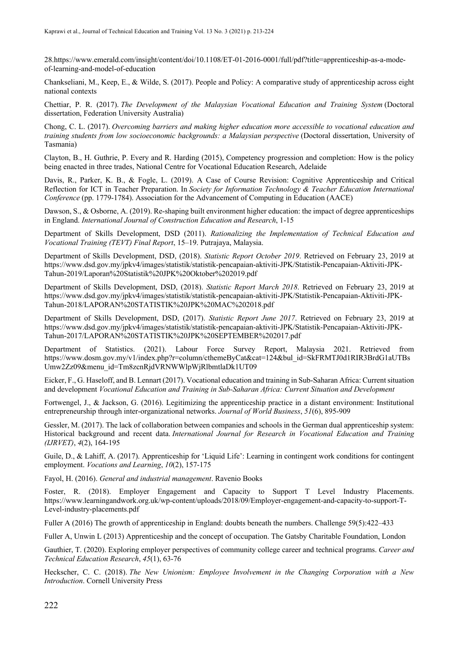28.https://www.emerald.com/insight/content/doi/10.1108/ET-01-2016-0001/full/pdf?title=apprenticeship-as-a-modeof-learning-and-model-of-education

Chankseliani, M., Keep, E., & Wilde, S. (2017). People and Policy: A comparative study of apprenticeship across eight national contexts

Chettiar, P. R. (2017). *The Development of the Malaysian Vocational Education and Training System* (Doctoral dissertation, Federation University Australia)

Chong, C. L. (2017). *Overcoming barriers and making higher education more accessible to vocational education and training students from low socioeconomic backgrounds: a Malaysian perspective* (Doctoral dissertation, University of Tasmania)

Clayton, B., H. Guthrie, P. Every and R. Harding (2015), Competency progression and completion: How is the policy being enacted in three trades, National Centre for Vocational Education Research, Adelaide

Davis, R., Parker, K. B., & Fogle, L. (2019). A Case of Course Revision: Cognitive Apprenticeship and Critical Reflection for ICT in Teacher Preparation. In *Society for Information Technology & Teacher Education International Conference* (pp. 1779-1784). Association for the Advancement of Computing in Education (AACE)

Dawson, S., & Osborne, A. (2019). Re-shaping built environment higher education: the impact of degree apprenticeships in England. *International Journal of Construction Education and Research*, 1-15

Department of Skills Development, DSD (2011). *Rationalizing the Implementation of Technical Education and Vocational Training (TEVT) Final Report*, 15–19. Putrajaya, Malaysia.

Department of Skills Development, DSD, (2018). *Statistic Report October 2019*. Retrieved on February 23, 2019 at https://www.dsd.gov.my/jpkv4/images/statistik/statistik-pencapaian-aktiviti-JPK/Statistik-Pencapaian-Aktiviti-JPK-Tahun-2019/Laporan%20Statistik%20JPK%20Oktober%202019.pdf

Department of Skills Development, DSD, (2018). *Statistic Report March 2018*. Retrieved on February 23, 2019 at https://www.dsd.gov.my/jpkv4/images/statistik/statistik-pencapaian-aktiviti-JPK/Statistik-Pencapaian-Aktiviti-JPK-Tahun-2018/LAPORAN%20STATISTIK%20JPK%20MAC%202018.pdf

Department of Skills Development, DSD, (2017). *Statistic Report June 2017*. Retrieved on February 23, 2019 at https://www.dsd.gov.my/jpkv4/images/statistik/statistik-pencapaian-aktiviti-JPK/Statistik-Pencapaian-Aktiviti-JPK-Tahun-2017/LAPORAN%20STATISTIK%20JPK%20SEPTEMBER%202017.pdf

Department of Statistics. (2021). Labour Force Survey Report, Malaysia 2021. Retrieved from https://www.dosm.gov.my/v1/index.php?r=column/cthemeByCat&cat=124&bul\_id=SkFRMTJ0d1RIR3BrdG1aUTBs Umw2Zz09&menu\_id=Tm8zcnRjdVRNWWlpWjRlbmtlaDk1UT09

Eicker, F., G. Haseloff, and B. Lennart (2017). Vocational education and training in Sub-Saharan Africa: Current situation and development *Vocational Education and Training in Sub-Saharan Africa: Current Situation and Development*

Fortwengel, J., & Jackson, G. (2016). Legitimizing the apprenticeship practice in a distant environment: Institutional entrepreneurship through inter-organizational networks. *Journal of World Business*, *51*(6), 895-909

Gessler, M. (2017). The lack of collaboration between companies and schools in the German dual apprenticeship system: Historical background and recent data. *International Journal for Research in Vocational Education and Training (IJRVET)*, *4*(2), 164-195

Guile, D., & Lahiff, A. (2017). Apprenticeship for 'Liquid Life': Learning in contingent work conditions for contingent employment. *Vocations and Learning*, *10*(2), 157-175

Fayol, H. (2016). *General and industrial management*. Ravenio Books

Foster, R. (2018). Employer Engagement and Capacity to Support T Level Industry Placements. https://www.learningandwork.org.uk/wp-content/uploads/2018/09/Employer-engagement-and-capacity-to-support-T-Level-industry-placements.pdf

Fuller A (2016) The growth of apprenticeship in England: doubts beneath the numbers. Challenge 59(5):422–433

Fuller A, Unwin L (2013) Apprenticeship and the concept of occupation. The Gatsby Charitable Foundation, London

Gauthier, T. (2020). Exploring employer perspectives of community college career and technical programs. *Career and Technical Education Research*, *45*(1), 63-76

Heckscher, C. C. (2018). *The New Unionism: Employee Involvement in the Changing Corporation with a New Introduction*. Cornell University Press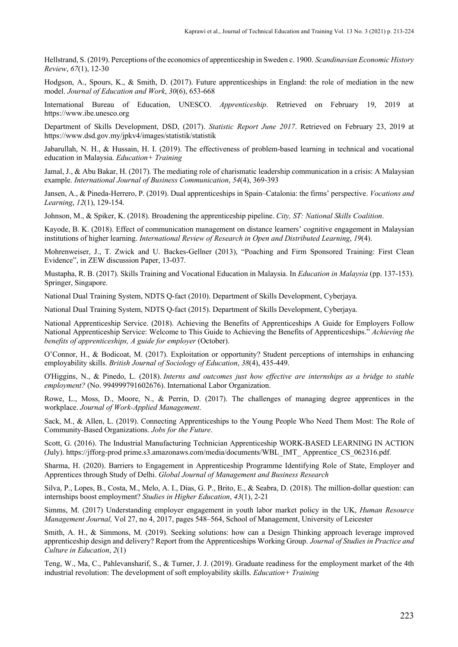Hellstrand, S. (2019). Perceptions of the economics of apprenticeship in Sweden c. 1900. *Scandinavian Economic History Review*, *67*(1), 12-30

Hodgson, A., Spours, K., & Smith, D. (2017). Future apprenticeships in England: the role of mediation in the new model. *Journal of Education and Work*, *30*(6), 653-668

International Bureau of Education, UNESCO. *Apprenticeship*. Retrieved on February 19, 2019 at https://www.ibe.unesco.org

Department of Skills Development, DSD, (2017). *Statistic Report June 2017*. Retrieved on February 23, 2019 at https://www.dsd.gov.my/jpkv4/images/statistik/statistik

Jabarullah, N. H., & Hussain, H. I. (2019). The effectiveness of problem-based learning in technical and vocational education in Malaysia. *Education+ Training*

Jamal, J., & Abu Bakar, H. (2017). The mediating role of charismatic leadership communication in a crisis: A Malaysian example. *International Journal of Business Communication*, *54*(4), 369-393

Jansen, A., & Pineda-Herrero, P. (2019). Dual apprenticeships in Spain–Catalonia: the firms' perspective. *Vocations and Learning*, *12*(1), 129-154.

Johnson, M., & Spiker, K. (2018). Broadening the apprenticeship pipeline. *City, ST: National Skills Coalition*.

Kayode, B. K. (2018). Effect of communication management on distance learners' cognitive engagement in Malaysian institutions of higher learning. *International Review of Research in Open and Distributed Learning*, *19*(4).

Mohrenweiser, J., T. Zwick and U. Backes-Gellner (2013), "Poaching and Firm Sponsored Training: First Clean Evidence", in ZEW discussion Paper, 13-037.

Mustapha, R. B. (2017). Skills Training and Vocational Education in Malaysia. In *Education in Malaysia* (pp. 137-153). Springer, Singapore.

National Dual Training System, NDTS Q-fact (2010). Department of Skills Development, Cyberjaya.

National Dual Training System, NDTS Q-fact (2015). Department of Skills Development, Cyberjaya.

National Apprenticeship Service. (2018). Achieving the Benefits of Apprenticeships A Guide for Employers Follow National Apprenticeship Service: Welcome to This Guide to Achieving the Benefits of Apprenticeships." *Achieving the benefits of apprenticeships, A guide for employer* (October).

O'Connor, H., & Bodicoat, M. (2017). Exploitation or opportunity? Student perceptions of internships in enhancing employability skills. *British Journal of Sociology of Education*, *38*(4), 435-449.

O'Higgins, N., & Pinedo, L. (2018). *Interns and outcomes just how effective are internships as a bridge to stable employment?* (No. 994999791602676). International Labor Organization.

Rowe, L., Moss, D., Moore, N., & Perrin, D. (2017). The challenges of managing degree apprentices in the workplace. *Journal of Work-Applied Management*.

Sack, M., & Allen, L. (2019). Connecting Apprenticeships to the Young People Who Need Them Most: The Role of Community-Based Organizations. *Jobs for the Future*.

Scott, G. (2016). The Industrial Manufacturing Technician Apprenticeship WORK-BASED LEARNING IN ACTION (July). https://jfforg-prod prime.s3.amazonaws.com/media/documents/WBL\_IMT\_ Apprentice\_CS\_062316.pdf.

Sharma, H. (2020). Barriers to Engagement in Apprenticeship Programme Identifying Role of State, Employer and Apprentices through Study of Delhi. *Global Journal of Management and Business Research*

Silva, P., Lopes, B., Costa, M., Melo, A. I., Dias, G. P., Brito, E., & Seabra, D. (2018). The million-dollar question: can internships boost employment? *Studies in Higher Education*, *43*(1), 2-21

Simms, M. (2017) Understanding employer engagement in youth labor market policy in the UK, *Human Resource Management Journal,* Vol 27, no 4, 2017, pages 548–564, School of Management, University of Leicester

Smith, A. H., & Simmons, M. (2019). Seeking solutions: how can a Design Thinking approach leverage improved apprenticeship design and delivery? Report from the Apprenticeships Working Group. *Journal of Studies in Practice and Culture in Education*, *2*(1)

Teng, W., Ma, C., Pahlevansharif, S., & Turner, J. J. (2019). Graduate readiness for the employment market of the 4th industrial revolution: The development of soft employability skills. *Education+ Training*